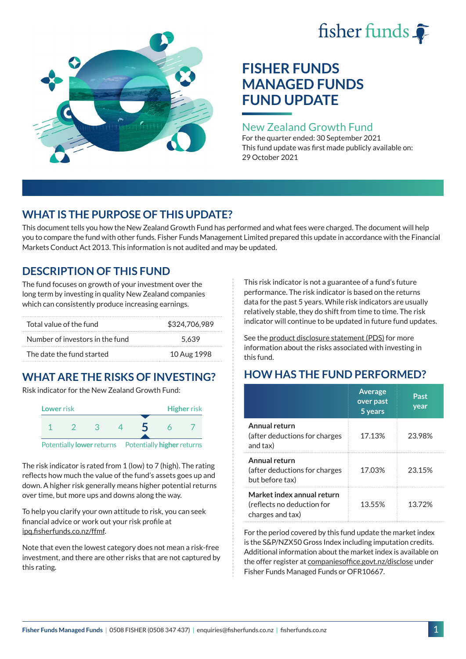# fisher funds  $\hat{\bullet}$



## **FISHER FUNDS MANAGED FUNDS FUND UPDATE**

## New Zealand Growth Fund

For the quarter ended: 30 September 2021 This fund update was first made publicly available on: 29 October 2021

## **WHAT IS THE PURPOSE OF THIS UPDATE?**

This document tells you how the New Zealand Growth Fund has performed and what fees were charged. The document will help you to compare the fund with other funds. Fisher Funds Management Limited prepared this update in accordance with the Financial Markets Conduct Act 2013. This information is not audited and may be updated.

## **DESCRIPTION OF THIS FUND**

The fund focuses on growth of your investment over the long term by investing in quality New Zealand companies which can consistently produce increasing earnings.

| Total value of the fund         | \$324,706,989 |
|---------------------------------|---------------|
| Number of investors in the fund | 5.639         |
| The date the fund started       | 10 Aug 1998   |

## **WHAT ARE THE RISKS OF INVESTING?**

Risk indicator for the New Zealand Growth Fund:



The risk indicator is rated from 1 (low) to 7 (high). The rating reflects how much the value of the fund's assets goes up and down. A higher risk generally means higher potential returns over time, but more ups and downs along the way.

To help you clarify your own attitude to risk, you can seek financial advice or work out your risk profile at [ipq.fisherfunds.co.nz/ffmf](https://ipq.fisherfunds.co.nz/ffmf).

Note that even the lowest category does not mean a risk-free investment, and there are other risks that are not captured by this rating.

This risk indicator is not a guarantee of a fund's future performance. The risk indicator is based on the returns data for the past 5 years. While risk indicators are usually relatively stable, they do shift from time to time. The risk indicator will continue to be updated in future fund updates.

See the [product disclosure statement \(PDS\)](https://fisherfunds.co.nz/assets/PDS/Fisher-Funds-Managed-Funds-PDS.pdf) for more information about the risks associated with investing in this fund.

## **HOW HAS THE FUND PERFORMED?**

|                                                                              | <b>Average</b><br>over past<br>5 years | Past<br>year |
|------------------------------------------------------------------------------|----------------------------------------|--------------|
| Annual return<br>(after deductions for charges<br>and tax)                   | 17.13%                                 | 23.98%       |
| Annual return<br>(after deductions for charges<br>but before tax)            | 17.03%                                 | 23.15%       |
| Market index annual return<br>(reflects no deduction for<br>charges and tax) | 13.55%                                 | 13.72%       |

For the period covered by this fund update the market index is the S&P/NZX50 Gross Index including imputation credits. Additional information about the market index is available on the offer register at [companiesoffice.govt.nz/disclose](http://companiesoffice.govt.nz/disclose) under Fisher Funds Managed Funds or OFR10667.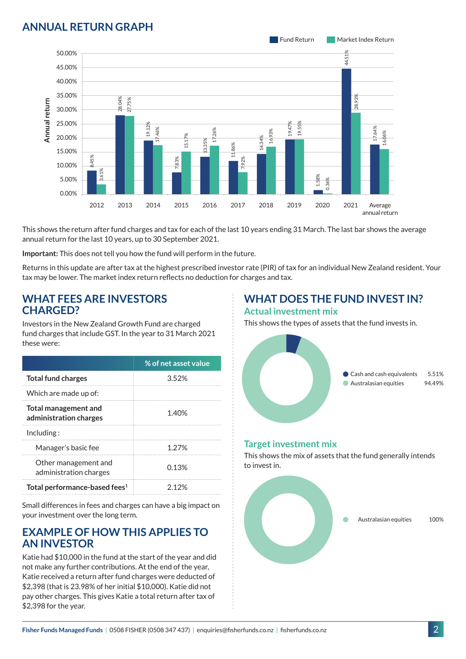## **ANNUAL RETURN GRAPH**



This shows the return after fund charges and tax for each of the last 10 years ending 31 March. The last bar shows the average annual return for the last 10 years, up to 30 September 2021.

**Important:** This does not tell you how the fund will perform in the future.

Returns in this update are after tax at the highest prescribed investor rate (PIR) of tax for an individual New Zealand resident. Your tax may be lower. The market index return reflects no deduction for charges and tax.

#### **WHAT FEES ARE INVESTORS CHARGED?**

Investors in the New Zealand Growth Fund are charged fund charges that include GST. In the year to 31 March 2021 these were:

|                                                       | % of net asset value |
|-------------------------------------------------------|----------------------|
| <b>Total fund charges</b>                             | 352%                 |
| Which are made up of:                                 |                      |
| <b>Total management and</b><br>administration charges | 1.40%                |
| Inding:                                               |                      |
| Manager's basic fee                                   | 1 27%                |
| Other management and<br>administration charges        | 0.13%                |
| Total performance-based fees <sup>1</sup>             | ን 12%                |

Small differences in fees and charges can have a big impact on your investment over the long term.

#### **EXAMPLE OF HOW THIS APPLIES TO AN INVESTOR**

Katie had \$10,000 in the fund at the start of the year and did not make any further contributions. At the end of the year, Katie received a return after fund charges were deducted of \$2,398 (that is 23.98% of her initial \$10,000). Katie did not pay other charges. This gives Katie a total return after tax of \$2,398 for the year.

#### **WHAT DOES THE FUND INVEST IN? Actual investment mix**

This shows the types of assets that the fund invests in.



#### **Target investment mix**

This shows the mix of assets that the fund generally intends to invest in.